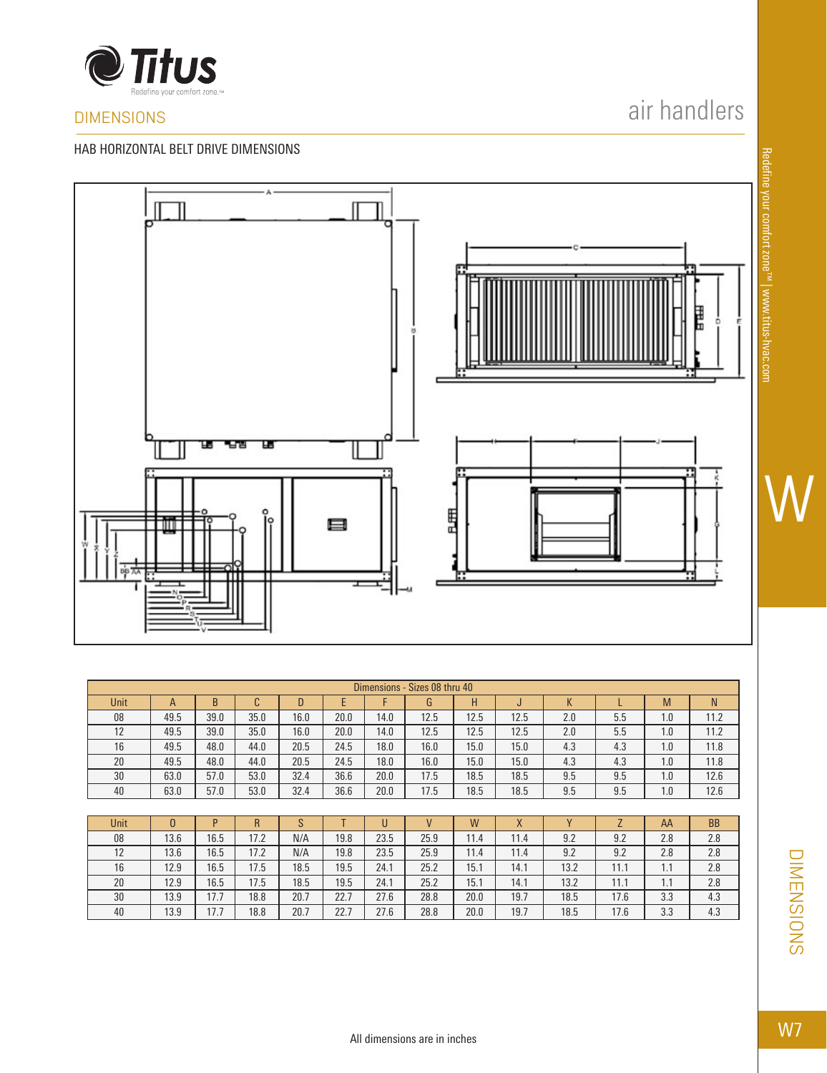

## DIMENSIONS

ᇥ

#### HAB HORIZONTAL BELT DRIVE DIMENSIONS

# air handlers



| Dimensions - Sizes 08 thru 40 |              |      |      |      |      |      |      |      |      |     |     |     |      |
|-------------------------------|--------------|------|------|------|------|------|------|------|------|-----|-----|-----|------|
| <b>Unit</b>                   | $\mathsf{A}$ | B    |      | D    |      |      | G    | Н    | IJ   | К   |     | M   | N    |
| 08                            | 49.5         | 39.0 | 35.0 | 16.0 | 20.0 | 14.0 | 12.5 | 12.5 | 12.5 | 2.0 | 5.5 | 1.0 | 11.2 |
| 12                            | 49.5         | 39.0 | 35.0 | 16.0 | 20.0 | 14.0 | 12.5 | 12.5 | 12.5 | 2.0 | 5.5 | 1.0 | 11.2 |
| 16                            | 49.5         | 48.0 | 44.0 | 20.5 | 24.5 | 18.0 | 16.0 | 15.0 | 15.0 | 4.3 | 4.3 | 1.0 | 11.8 |
| 20                            | 49.5         | 48.0 | 44.0 | 20.5 | 24.5 | 18.0 | 16.0 | 15.0 | 15.0 | 4.3 | 4.3 | 1.0 | 11.8 |
| 30                            | 63.0         | 57.0 | 53.0 | 32.4 | 36.6 | 20.0 | 17.5 | 18.5 | 18.5 | 9.5 | 9.5 | 1.0 | 12.6 |
| 40                            | 63.0         | 57.0 | 53.0 | 32.4 | 36.6 | 20.0 | 17.5 | 18.5 | 18.5 | 9.5 | 9.5 | 1.0 | 12.6 |

| <b>Unit</b> |      |      | R    |      |      |      |      | W    | X    |      |      | AA  | <b>BB</b> |
|-------------|------|------|------|------|------|------|------|------|------|------|------|-----|-----------|
| 08          | 13.6 | 16.5 | 17.2 | N/A  | 19.8 | 23.5 | 25.9 | 11.4 | 11.4 | 9.2  | 9.2  | 2.8 | 2.8       |
| 12          | 13.6 | 16.5 | 17.2 | N/A  | 19.8 | 23.5 | 25.9 | 11.4 | 11.4 | 9.2  | 9.2  | 2.8 | 2.8       |
| 16          | 12.9 | 16.5 | 17.5 | 18.5 | 19.5 | 24.1 | 25.2 | 15.1 | 14.1 | 13.2 | 11.1 | 1.1 | 2.8       |
| 20          | 12.9 | 16.5 | 17.5 | 18.5 | 19.5 | 24.1 | 25.2 | 15.1 | 14.1 | 13.2 | 11.1 | .   | 2.8       |
| 30          | 13.9 | 17.7 | 18.8 | 20.7 | 22.7 | 27.6 | 28.8 | 20.0 | 19.7 | 18.5 | 17.6 | 3.3 | 4.3       |
| 40          | 13.9 | 17.7 | 18.8 | 20.7 | 22.7 | 27.6 | 28.8 | 20.0 | 19.7 | 18.5 | 17.6 | 3.3 | 4.3       |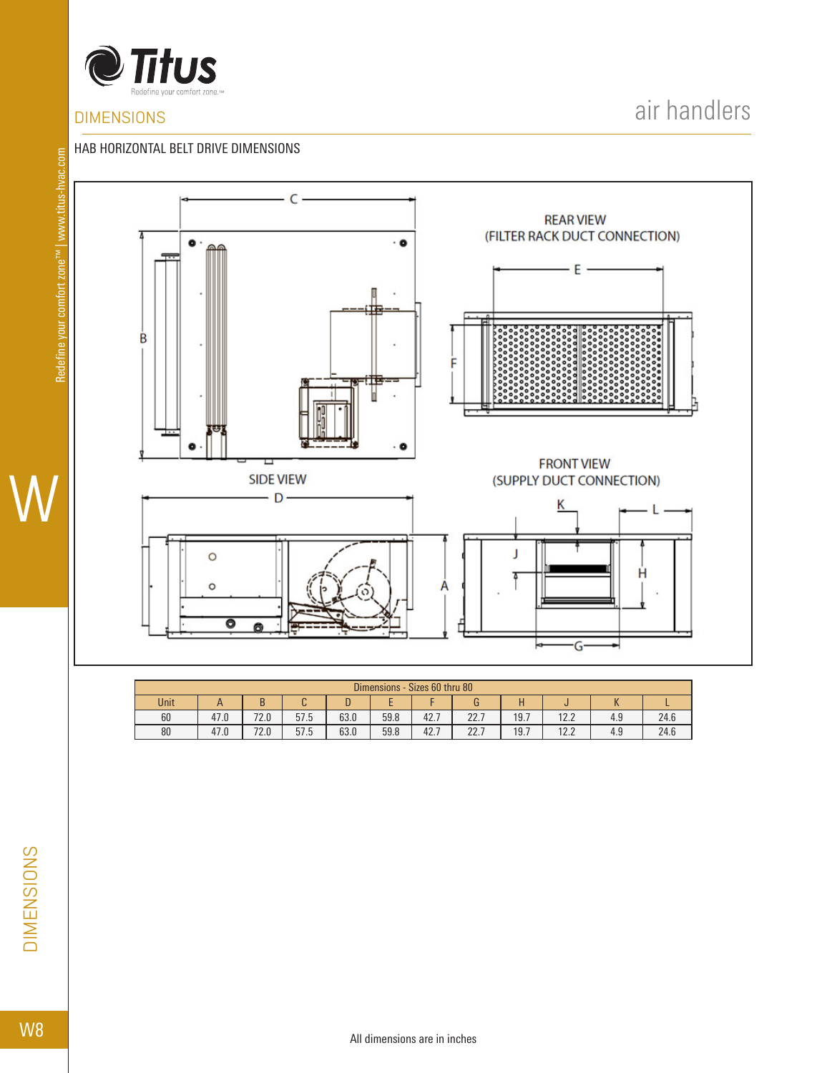

## **DIMENSIONS**

air handlers

#### HAB HORIZONTAL BELT DRIVE DIMENSIONS



| Dimensions - Sizes 60 thru 80 |      |      |      |      |      |      |             |      |              |          |      |  |
|-------------------------------|------|------|------|------|------|------|-------------|------|--------------|----------|------|--|
| Unit                          |      |      |      |      |      |      |             |      |              | $\bf{v}$ |      |  |
| 60                            | 47.0 | 72.0 | 57.5 | 63.0 | 59.8 | 42.7 | 227<br>LL.I | 19.7 | 17 7<br>12.Z | 4.9      | 24.6 |  |
| 80                            | 47.0 | 72.0 | 57.5 | 63.0 | 59.8 | 42.7 | 22.7        | 19.7 | 122<br>14.L  | 4.9      | 24.6 |  |